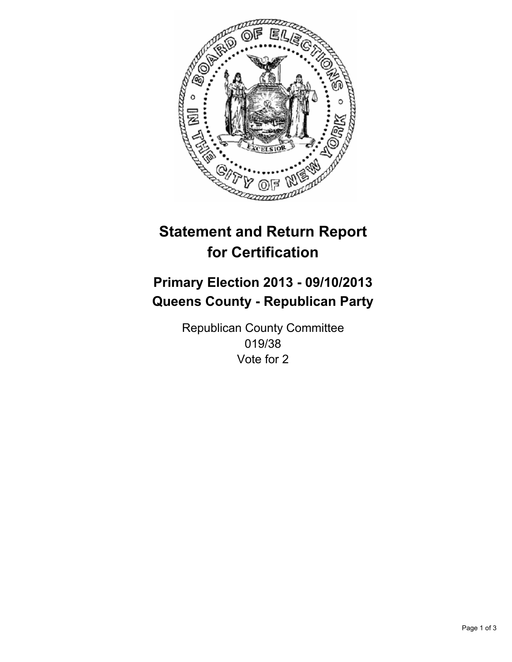

# **Statement and Return Report for Certification**

## **Primary Election 2013 - 09/10/2013 Queens County - Republican Party**

Republican County Committee 019/38 Vote for 2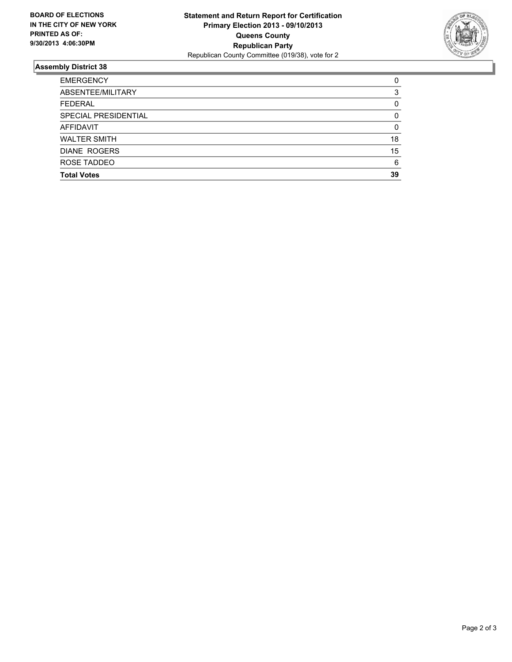

### **Assembly District 38**

| <b>EMERGENCY</b>     | 0        |
|----------------------|----------|
| ABSENTEE/MILITARY    | 3        |
| <b>FEDERAL</b>       | 0        |
| SPECIAL PRESIDENTIAL | $\Omega$ |
| <b>AFFIDAVIT</b>     | 0        |
| <b>WALTER SMITH</b>  | 18       |
| <b>DIANE ROGERS</b>  | 15       |
| ROSE TADDEO          | 6        |
| <b>Total Votes</b>   | 39       |